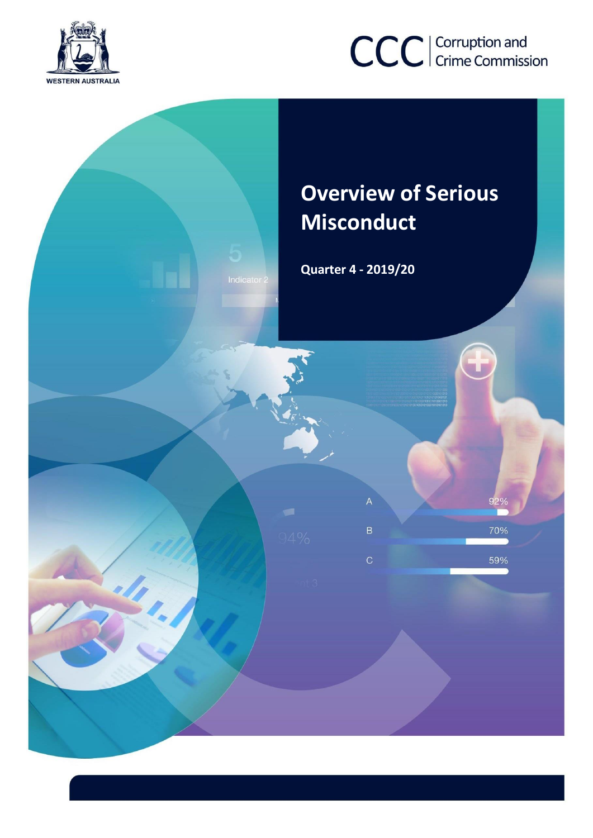

# CCC | Corruption and

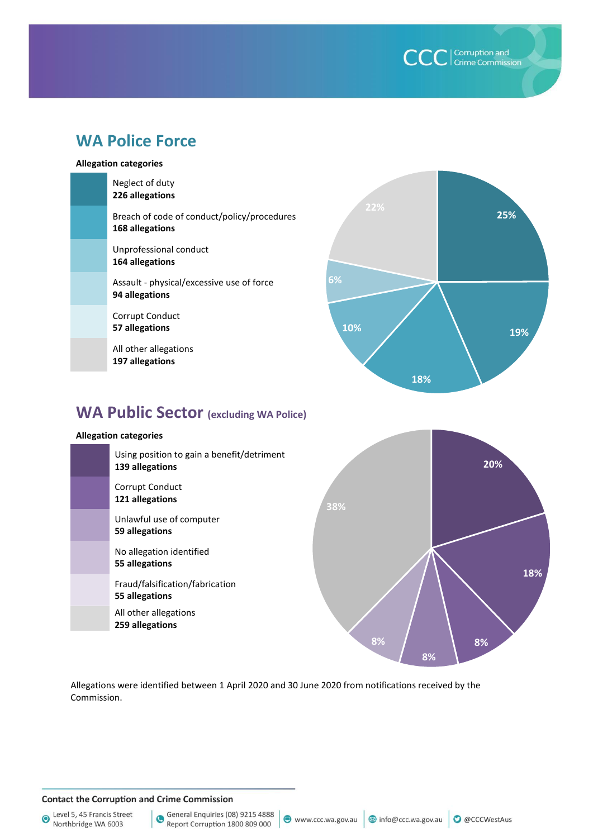| Corruption and<br>| Crime Commission

# **WA Police Force**

#### **Allegation categories**

| Neglect of duty<br>226 allegations                             |
|----------------------------------------------------------------|
| Breach of code of conduct/policy/procedures<br>168 allegations |
| Unprofessional conduct<br>164 allegations                      |
| Assault - physical/excessive use of force<br>94 allegations    |
| Corrupt Conduct<br>57 allegations                              |
| All other allegations<br>197 allegations                       |



**20%**

**8%**

**18%**

# **WA Public Sector (excluding WA Police)**

#### **Allegation categories**



Allegations were identified between 1 April 2020 and 30 June 2020 from notifications received by the Commission.

#### **Contact the Corruption and Crime Commission**

Level 5, 45 Francis Street  $\bullet$ Northbridge WA 6003

General Enquiries (08) 9215 4888 Report Corruption 1800 809 000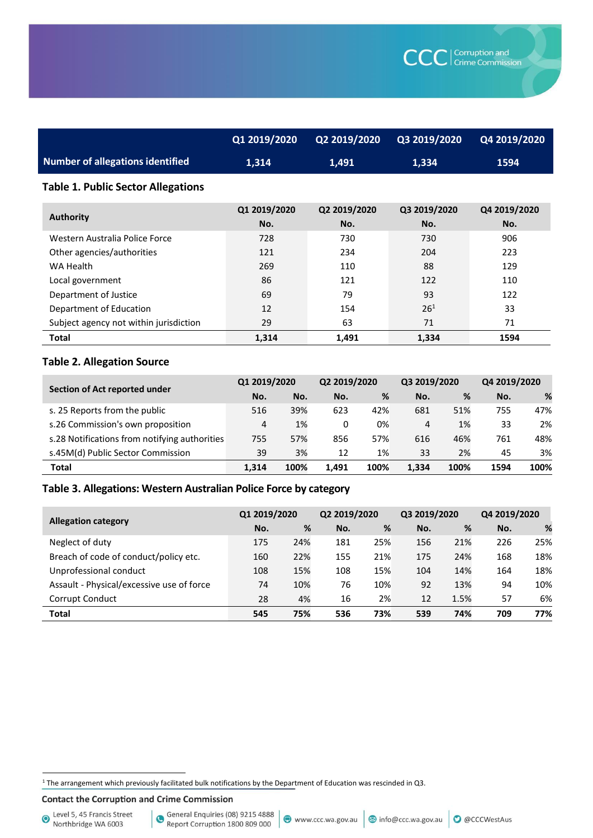|                                  | Q1 2019/2020 | Q2 2019/2020 | Q3 2019/2020 | Q4 2019/2020 |
|----------------------------------|--------------|--------------|--------------|--------------|
| Number of allegations identified | 1.314        | 1.491        | 1.334        | 1594         |

#### **Table 1. Public Sector Allegations**

| <b>Authority</b>                       | Q1 2019/2020<br>No. | Q2 2019/2020<br>No. | Q3 2019/2020<br>No. | Q4 2019/2020<br>No. |
|----------------------------------------|---------------------|---------------------|---------------------|---------------------|
| Western Australia Police Force         | 728                 | 730                 | 730                 | 906                 |
| Other agencies/authorities             | 121                 | 234                 | 204                 | 223                 |
| WA Health                              | 269                 | 110                 | 88                  | 129                 |
| Local government                       | 86                  | 121                 | 122                 | 110                 |
| Department of Justice                  | 69                  | 79                  | 93                  | 122                 |
| Department of Education                | 12                  | 154                 | $26^{1}$            | 33                  |
| Subject agency not within jurisdiction | 29                  | 63                  | 71                  | 71                  |
| <b>Total</b>                           | 1.314               | 1,491               | 1.334               | 1594                |

## **Table 2. Allegation Source**

| Section of Act reported under                 | Q1 2019/2020 |      | Q2 2019/2020 |      | Q3 2019/2020 |      | Q4 2019/2020 |      |
|-----------------------------------------------|--------------|------|--------------|------|--------------|------|--------------|------|
|                                               | No.          | No.  | No.          | %    | No.          | %    | No.          | %    |
| s. 25 Reports from the public                 | 516          | 39%  | 623          | 42%  | 681          | 51%  | 755          | 47%  |
| s.26 Commission's own proposition             | 4            | 1%   | 0            | 0%   | 4            | 1%   | 33           | 2%   |
| s.28 Notifications from notifying authorities | 755          | 57%  | 856          | 57%  | 616          | 46%  | 761          | 48%  |
| s.45M(d) Public Sector Commission             | 39           | 3%   | 12           | 1%   | 33           | 2%   | 45           | 3%   |
| <b>Total</b>                                  | 1.314        | 100% | 1.491        | 100% | 1.334        | 100% | 1594         | 100% |

### **Table 3. Allegations: Western Australian Police Force by category**

|                                           | Q1 2019/2020 |     | Q2 2019/2020 |     | Q3 2019/2020 |      | Q4 2019/2020 |     |
|-------------------------------------------|--------------|-----|--------------|-----|--------------|------|--------------|-----|
| <b>Allegation category</b>                | No.          | %   | No.          | %   | No.          | %    | No.          | %   |
| Neglect of duty                           | 175          | 24% | 181          | 25% | 156          | 21%  | 226          | 25% |
| Breach of code of conduct/policy etc.     | 160          | 22% | 155          | 21% | 175          | 24%  | 168          | 18% |
| Unprofessional conduct                    | 108          | 15% | 108          | 15% | 104          | 14%  | 164          | 18% |
| Assault - Physical/excessive use of force | 74           | 10% | 76           | 10% | 92           | 13%  | 94           | 10% |
| Corrupt Conduct                           | 28           | 4%  | 16           | 2%  | 12           | 1.5% | 57           | 6%  |
| <b>Total</b>                              | 545          | 75% | 536          | 73% | 539          | 74%  | 709          | 77% |

 $1$  The arrangement which previously facilitated bulk notifications by the Department of Education was rescinded in Q3.

**Contact the Corruption and Crime Commission** 

Level 5, 45 Francis Street<br>Northbridge WA 6003

 $\overline{a}$